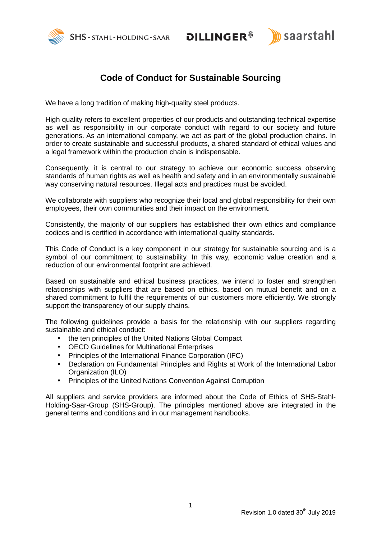



# **Code of Conduct for Sustainable Sourcing**

We have a long tradition of making high-quality steel products.

High quality refers to excellent properties of our products and outstanding technical expertise as well as responsibility in our corporate conduct with regard to our society and future generations. As an international company, we act as part of the global production chains. In order to create sustainable and successful products, a shared standard of ethical values and a legal framework within the production chain is indispensable.

Consequently, it is central to our strategy to achieve our economic success observing standards of human rights as well as health and safety and in an environmentally sustainable way conserving natural resources. Illegal acts and practices must be avoided.

We collaborate with suppliers who recognize their local and global responsibility for their own employees, their own communities and their impact on the environment.

Consistently, the majority of our suppliers has established their own ethics and compliance codices and is certified in accordance with international quality standards.

This Code of Conduct is a key component in our strategy for sustainable sourcing and is a symbol of our commitment to sustainability. In this way, economic value creation and a reduction of our environmental footprint are achieved.

Based on sustainable and ethical business practices, we intend to foster and strengthen relationships with suppliers that are based on ethics, based on mutual benefit and on a shared commitment to fulfil the requirements of our customers more efficiently. We strongly support the transparency of our supply chains.

The following guidelines provide a basis for the relationship with our suppliers regarding sustainable and ethical conduct:

- the ten principles of the United Nations Global Compact
- OECD Guidelines for Multinational Enterprises
- Principles of the International Finance Corporation (IFC)
- Declaration on Fundamental Principles and Rights at Work of the International Labor Organization (ILO)
- Principles of the United Nations Convention Against Corruption

All suppliers and service providers are informed about the Code of Ethics of SHS-Stahl-Holding-Saar-Group (SHS-Group). The principles mentioned above are integrated in the general terms and conditions and in our management handbooks.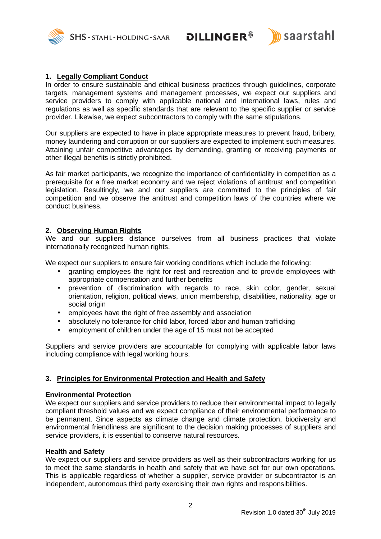SHS-STAHL-HOLDING-SAAR DILLINGER<sup>®</sup>



## **1. Legally Compliant Conduct**

In order to ensure sustainable and ethical business practices through guidelines, corporate targets, management systems and management processes, we expect our suppliers and service providers to comply with applicable national and international laws, rules and regulations as well as specific standards that are relevant to the specific supplier or service provider. Likewise, we expect subcontractors to comply with the same stipulations.

Our suppliers are expected to have in place appropriate measures to prevent fraud, bribery, money laundering and corruption or our suppliers are expected to implement such measures. Attaining unfair competitive advantages by demanding, granting or receiving payments or other illegal benefits is strictly prohibited.

As fair market participants, we recognize the importance of confidentiality in competition as a prerequisite for a free market economy and we reject violations of antitrust and competition legislation. Resultingly, we and our suppliers are committed to the principles of fair competition and we observe the antitrust and competition laws of the countries where we conduct business.

# **2. Observing Human Rights**

We and our suppliers distance ourselves from all business practices that violate internationally recognized human rights.

We expect our suppliers to ensure fair working conditions which include the following:

- granting employees the right for rest and recreation and to provide employees with appropriate compensation and further benefits
- prevention of discrimination with regards to race, skin color, gender, sexual orientation, religion, political views, union membership, disabilities, nationality, age or social origin
- employees have the right of free assembly and association
- absolutely no tolerance for child labor, forced labor and human trafficking
- employment of children under the age of 15 must not be accepted

Suppliers and service providers are accountable for complying with applicable labor laws including compliance with legal working hours.

## **3. Principles for Environmental Protection and Health and Safety**

#### **Environmental Protection**

We expect our suppliers and service providers to reduce their environmental impact to legally compliant threshold values and we expect compliance of their environmental performance to be permanent. Since aspects as climate change and climate protection, biodiversity and environmental friendliness are significant to the decision making processes of suppliers and service providers, it is essential to conserve natural resources.

#### **Health and Safety**

We expect our suppliers and service providers as well as their subcontractors working for us to meet the same standards in health and safety that we have set for our own operations. This is applicable regardless of whether a supplier, service provider or subcontractor is an independent, autonomous third party exercising their own rights and responsibilities.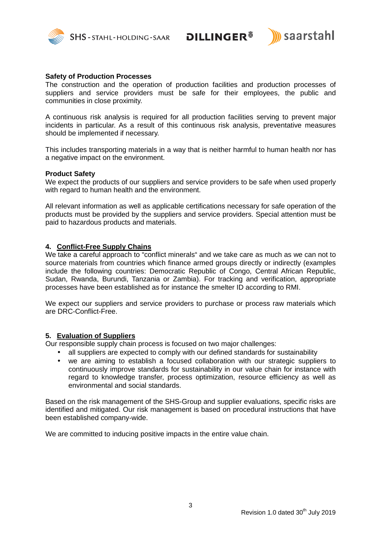

SHS-STAHL-HOLDING-SAAR DILLINGER<sup>®</sup>



## **Safety of Production Processes**

The construction and the operation of production facilities and production processes of suppliers and service providers must be safe for their employees, the public and communities in close proximity.

A continuous risk analysis is required for all production facilities serving to prevent major incidents in particular. As a result of this continuous risk analysis, preventative measures should be implemented if necessary.

This includes transporting materials in a way that is neither harmful to human health nor has a negative impact on the environment.

#### **Product Safety**

We expect the products of our suppliers and service providers to be safe when used properly with regard to human health and the environment.

All relevant information as well as applicable certifications necessary for safe operation of the products must be provided by the suppliers and service providers. Special attention must be paid to hazardous products and materials.

## **4. Conflict-Free Supply Chains**

We take a careful approach to "conflict minerals" and we take care as much as we can not to source materials from countries which finance armed groups directly or indirectly (examples include the following countries: Democratic Republic of Congo, Central African Republic, Sudan, Rwanda, Burundi, Tanzania or Zambia). For tracking and verification, appropriate processes have been established as for instance the smelter ID according to RMI.

We expect our suppliers and service providers to purchase or process raw materials which are DRC-Conflict-Free.

#### **5. Evaluation of Suppliers**

Our responsible supply chain process is focused on two major challenges:

- all suppliers are expected to comply with our defined standards for sustainability
- we are aiming to establish a focused collaboration with our strategic suppliers to continuously improve standards for sustainability in our value chain for instance with regard to knowledge transfer, process optimization, resource efficiency as well as environmental and social standards.

Based on the risk management of the SHS-Group and supplier evaluations, specific risks are identified and mitigated. Our risk management is based on procedural instructions that have been established company-wide.

We are committed to inducing positive impacts in the entire value chain.